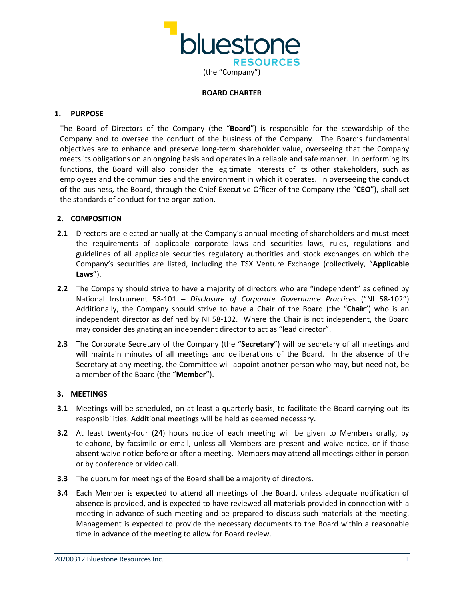

## **BOARD CHARTER**

## **1. PURPOSE**

The Board of Directors of the Company (the "**Board**") is responsible for the stewardship of the Company and to oversee the conduct of the business of the Company. The Board's fundamental objectives are to enhance and preserve long-term shareholder value, overseeing that the Company meets its obligations on an ongoing basis and operates in a reliable and safe manner. In performing its functions, the Board will also consider the legitimate interests of its other stakeholders, such as employees and the communities and the environment in which it operates. In overseeing the conduct of the business, the Board, through the Chief Executive Officer of the Company (the "**CEO**"), shall set the standards of conduct for the organization.

# **2. COMPOSITION**

- **2.1** Directors are elected annually at the Company's annual meeting of shareholders and must meet the requirements of applicable corporate laws and securities laws, rules, regulations and guidelines of all applicable securities regulatory authorities and stock exchanges on which the Company's securities are listed, including the TSX Venture Exchange (collectively, "**Applicable Laws**").
- **2.2** The Company should strive to have a majority of directors who are "independent" as defined by National Instrument 58-101 – *Disclosure of Corporate Governance Practices* ("NI 58-102") Additionally, the Company should strive to have a Chair of the Board (the "**Chair**") who is an independent director as defined by NI 58-102. Where the Chair is not independent, the Board may consider designating an independent director to act as "lead director".
- **2.3** The Corporate Secretary of the Company (the "**Secretary**") will be secretary of all meetings and will maintain minutes of all meetings and deliberations of the Board. In the absence of the Secretary at any meeting, the Committee will appoint another person who may, but need not, be a member of the Board (the "**Member**").

# **3. MEETINGS**

- **3.1** Meetings will be scheduled, on at least a quarterly basis, to facilitate the Board carrying out its responsibilities. Additional meetings will be held as deemed necessary.
- **3.2** At least twenty-four (24) hours notice of each meeting will be given to Members orally, by telephone, by facsimile or email, unless all Members are present and waive notice, or if those absent waive notice before or after a meeting. Members may attend all meetings either in person or by conference or video call.
- **3.3** The quorum for meetings of the Board shall be a majority of directors.
- **3.4** Each Member is expected to attend all meetings of the Board, unless adequate notification of absence is provided, and is expected to have reviewed all materials provided in connection with a meeting in advance of such meeting and be prepared to discuss such materials at the meeting. Management is expected to provide the necessary documents to the Board within a reasonable time in advance of the meeting to allow for Board review.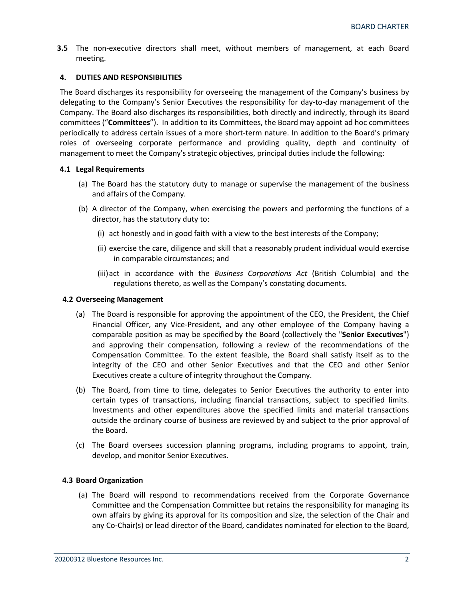**3.5** The non-executive directors shall meet, without members of management, at each Board meeting.

## **4. DUTIES AND RESPONSIBILITIES**

The Board discharges its responsibility for overseeing the management of the Company's business by delegating to the Company's Senior Executives the responsibility for day-to-day management of the Company. The Board also discharges its responsibilities, both directly and indirectly, through its Board committees ("**Committees**"). In addition to its Committees, the Board may appoint ad hoc committees periodically to address certain issues of a more short-term nature. In addition to the Board's primary roles of overseeing corporate performance and providing quality, depth and continuity of management to meet the Company's strategic objectives, principal duties include the following:

## **4.1 Legal Requirements**

- (a) The Board has the statutory duty to manage or supervise the management of the business and affairs of the Company.
- (b) A director of the Company, when exercising the powers and performing the functions of a director, has the statutory duty to:
	- (i) act honestly and in good faith with a view to the best interests of the Company;
	- (ii) exercise the care, diligence and skill that a reasonably prudent individual would exercise in comparable circumstances; and
	- (iii)act in accordance with the *Business Corporations Act* (British Columbia) and the regulations thereto, as well as the Company's constating documents.

## **4.2 Overseeing Management**

- (a) The Board is responsible for approving the appointment of the CEO, the President, the Chief Financial Officer, any Vice-President, and any other employee of the Company having a comparable position as may be specified by the Board (collectively the "**Senior Executives**") and approving their compensation, following a review of the recommendations of the Compensation Committee. To the extent feasible, the Board shall satisfy itself as to the integrity of the CEO and other Senior Executives and that the CEO and other Senior Executives create a culture of integrity throughout the Company.
- (b) The Board, from time to time, delegates to Senior Executives the authority to enter into certain types of transactions, including financial transactions, subject to specified limits. Investments and other expenditures above the specified limits and material transactions outside the ordinary course of business are reviewed by and subject to the prior approval of the Board.
- (c) The Board oversees succession planning programs, including programs to appoint, train, develop, and monitor Senior Executives.

## **4.3 Board Organization**

(a) The Board will respond to recommendations received from the Corporate Governance Committee and the Compensation Committee but retains the responsibility for managing its own affairs by giving its approval for its composition and size, the selection of the Chair and any Co-Chair(s) or lead director of the Board, candidates nominated for election to the Board,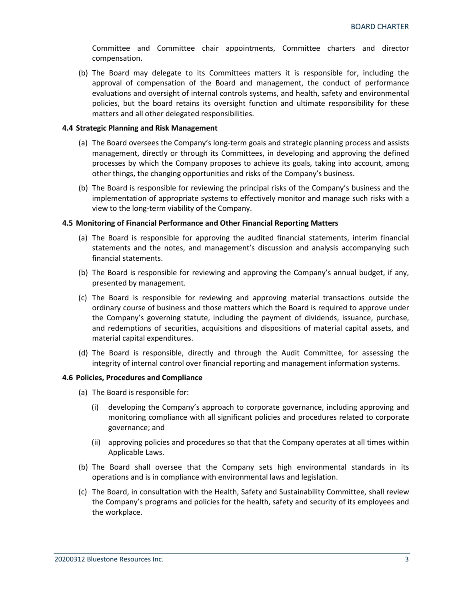Committee and Committee chair appointments, Committee charters and director compensation.

(b) The Board may delegate to its Committees matters it is responsible for, including the approval of compensation of the Board and management, the conduct of performance evaluations and oversight of internal controls systems, and health, safety and environmental policies, but the board retains its oversight function and ultimate responsibility for these matters and all other delegated responsibilities.

## **4.4 Strategic Planning and Risk Management**

- (a) The Board oversees the Company's long-term goals and strategic planning process and assists management, directly or through its Committees, in developing and approving the defined processes by which the Company proposes to achieve its goals, taking into account, among other things, the changing opportunities and risks of the Company's business.
- (b) The Board is responsible for reviewing the principal risks of the Company's business and the implementation of appropriate systems to effectively monitor and manage such risks with a view to the long-term viability of the Company.

## **4.5 Monitoring of Financial Performance and Other Financial Reporting Matters**

- (a) The Board is responsible for approving the audited financial statements, interim financial statements and the notes, and management's discussion and analysis accompanying such financial statements.
- (b) The Board is responsible for reviewing and approving the Company's annual budget, if any, presented by management.
- (c) The Board is responsible for reviewing and approving material transactions outside the ordinary course of business and those matters which the Board is required to approve under the Company's governing statute, including the payment of dividends, issuance, purchase, and redemptions of securities, acquisitions and dispositions of material capital assets, and material capital expenditures.
- (d) The Board is responsible, directly and through the Audit Committee, for assessing the integrity of internal control over financial reporting and management information systems.

## **4.6 Policies, Procedures and Compliance**

- (a) The Board is responsible for:
	- (i) developing the Company's approach to corporate governance, including approving and monitoring compliance with all significant policies and procedures related to corporate governance; and
	- (ii) approving policies and procedures so that that the Company operates at all times within Applicable Laws.
- (b) The Board shall oversee that the Company sets high environmental standards in its operations and is in compliance with environmental laws and legislation.
- (c) The Board, in consultation with the Health, Safety and Sustainability Committee, shall review the Company's programs and policies for the health, safety and security of its employees and the workplace.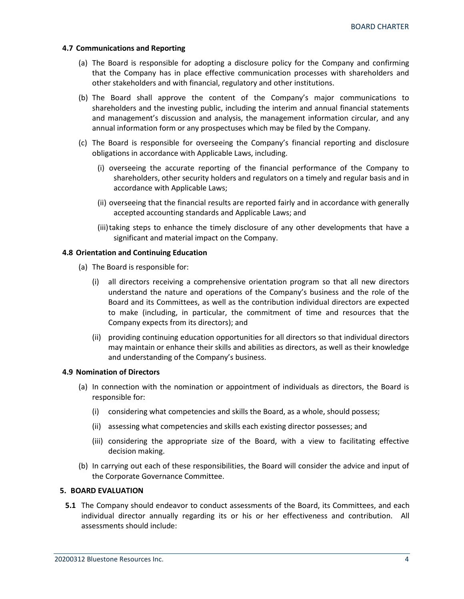## **4.7 Communications and Reporting**

- (a) The Board is responsible for adopting a disclosure policy for the Company and confirming that the Company has in place effective communication processes with shareholders and other stakeholders and with financial, regulatory and other institutions.
- (b) The Board shall approve the content of the Company's major communications to shareholders and the investing public, including the interim and annual financial statements and management's discussion and analysis, the management information circular, and any annual information form or any prospectuses which may be filed by the Company.
- (c) The Board is responsible for overseeing the Company's financial reporting and disclosure obligations in accordance with Applicable Laws, including.
	- (i) overseeing the accurate reporting of the financial performance of the Company to shareholders, other security holders and regulators on a timely and regular basis and in accordance with Applicable Laws;
	- (ii) overseeing that the financial results are reported fairly and in accordance with generally accepted accounting standards and Applicable Laws; and
	- (iii)taking steps to enhance the timely disclosure of any other developments that have a significant and material impact on the Company.

## **4.8 Orientation and Continuing Education**

- (a) The Board is responsible for:
	- (i) all directors receiving a comprehensive orientation program so that all new directors understand the nature and operations of the Company's business and the role of the Board and its Committees, as well as the contribution individual directors are expected to make (including, in particular, the commitment of time and resources that the Company expects from its directors); and
	- (ii) providing continuing education opportunities for all directors so that individual directors may maintain or enhance their skills and abilities as directors, as well as their knowledge and understanding of the Company's business.

## **4.9 Nomination of Directors**

- (a) In connection with the nomination or appointment of individuals as directors, the Board is responsible for:
	- (i) considering what competencies and skills the Board, as a whole, should possess;
	- (ii) assessing what competencies and skills each existing director possesses; and
	- (iii) considering the appropriate size of the Board, with a view to facilitating effective decision making.
- (b) In carrying out each of these responsibilities, the Board will consider the advice and input of the Corporate Governance Committee.

## **5. BOARD EVALUATION**

**5.1** The Company should endeavor to conduct assessments of the Board, its Committees, and each individual director annually regarding its or his or her effectiveness and contribution. All assessments should include: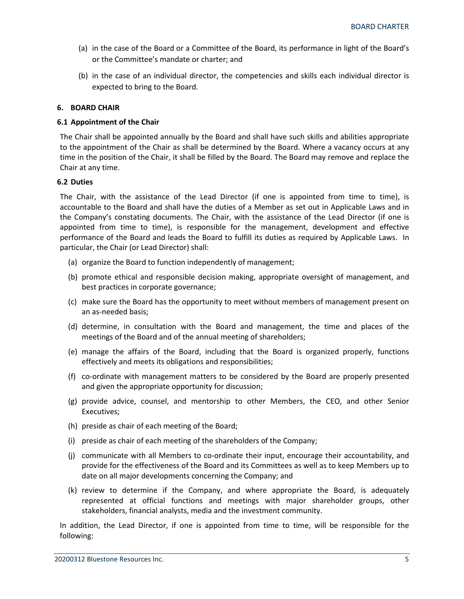- (a) in the case of the Board or a Committee of the Board, its performance in light of the Board's or the Committee's mandate or charter; and
- (b) in the case of an individual director, the competencies and skills each individual director is expected to bring to the Board.

## **6. BOARD CHAIR**

## **6.1 Appointment of the Chair**

The Chair shall be appointed annually by the Board and shall have such skills and abilities appropriate to the appointment of the Chair as shall be determined by the Board. Where a vacancy occurs at any time in the position of the Chair, it shall be filled by the Board. The Board may remove and replace the Chair at any time.

## **6.2 Duties**

The Chair, with the assistance of the Lead Director (if one is appointed from time to time), is accountable to the Board and shall have the duties of a Member as set out in Applicable Laws and in the Company's constating documents. The Chair, with the assistance of the Lead Director (if one is appointed from time to time), is responsible for the management, development and effective performance of the Board and leads the Board to fulfill its duties as required by Applicable Laws. In particular, the Chair (or Lead Director) shall:

- (a) organize the Board to function independently of management;
- (b) promote ethical and responsible decision making, appropriate oversight of management, and best practices in corporate governance;
- (c) make sure the Board has the opportunity to meet without members of management present on an as-needed basis;
- (d) determine, in consultation with the Board and management, the time and places of the meetings of the Board and of the annual meeting of shareholders;
- (e) manage the affairs of the Board, including that the Board is organized properly, functions effectively and meets its obligations and responsibilities;
- (f) co-ordinate with management matters to be considered by the Board are properly presented and given the appropriate opportunity for discussion;
- (g) provide advice, counsel, and mentorship to other Members, the CEO, and other Senior Executives;
- (h) preside as chair of each meeting of the Board;
- (i) preside as chair of each meeting of the shareholders of the Company;
- (j) communicate with all Members to co-ordinate their input, encourage their accountability, and provide for the effectiveness of the Board and its Committees as well as to keep Members up to date on all major developments concerning the Company; and
- (k) review to determine if the Company, and where appropriate the Board, is adequately represented at official functions and meetings with major shareholder groups, other stakeholders, financial analysts, media and the investment community.

In addition, the Lead Director, if one is appointed from time to time, will be responsible for the following: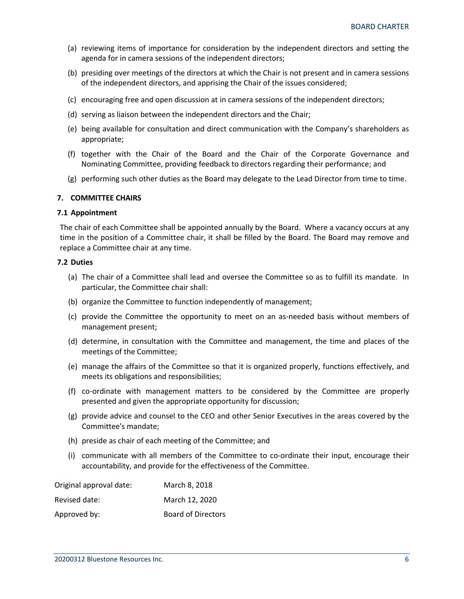- (a) reviewing items of importance for consideration by the independent directors and setting the agenda for in camera sessions of the independent directors;
- (b) presiding over meetings of the directors at which the Chair is not present and in camera sessions of the independent directors, and apprising the Chair of the issues considered;
- (c) encouraging free and open discussion at in camera sessions of the independent directors;
- (d) serving as liaison between the independent directors and the Chair;
- (e) being available for consultation and direct communication with the Company's shareholders as appropriate;
- (f) together with the Chair of the Board and the Chair of the Corporate Governance and Nominating Committee, providing feedback to directors regarding their performance; and
- (g) performing such other duties as the Board may delegate to the Lead Director from time to time.

## **7. COMMITTEE CHAIRS**

## **7.1 Appointment**

The chair of each Committee shall be appointed annually by the Board. Where a vacancy occurs at any time in the position of a Committee chair, it shall be filled by the Board. The Board may remove and replace a Committee chair at any time.

# **7.2 Duties**

- (a) The chair of a Committee shall lead and oversee the Committee so as to fulfill its mandate. In particular, the Committee chair shall:
- (b) organize the Committee to function independently of management;
- (c) provide the Committee the opportunity to meet on an as-needed basis without members of management present;
- (d) determine, in consultation with the Committee and management, the time and places of the meetings of the Committee;
- (e) manage the affairs of the Committee so that it is organized properly, functions effectively, and meets its obligations and responsibilities;
- (f) co-ordinate with management matters to be considered by the Committee are properly presented and given the appropriate opportunity for discussion;
- (g) provide advice and counsel to the CEO and other Senior Executives in the areas covered by the Committee's mandate;
- (h) preside as chair of each meeting of the Committee; and
- (i) communicate with all members of the Committee to co-ordinate their input, encourage their accountability, and provide for the effectiveness of the Committee.

| Original approval date: | March 8, 2018             |
|-------------------------|---------------------------|
| Revised date:           | March 12, 2020            |
| Approved by:            | <b>Board of Directors</b> |